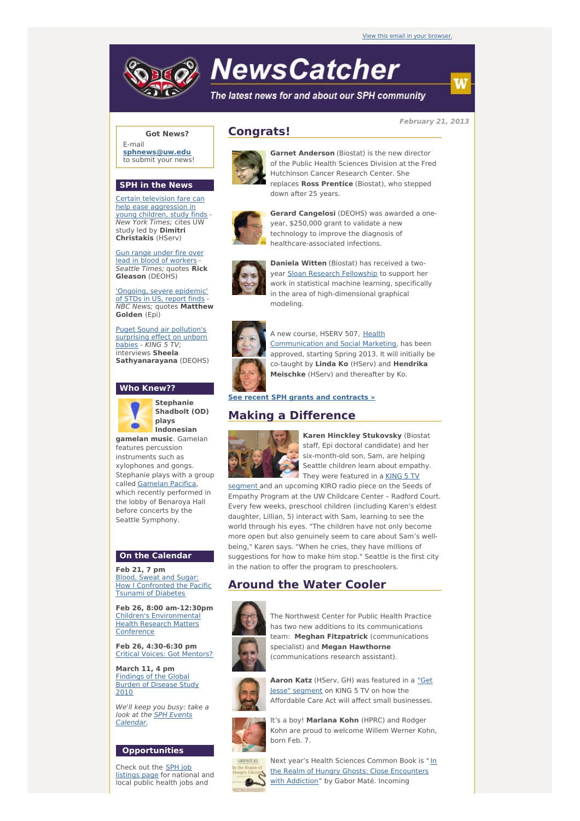

# **NewsCatcher**

The latest news for and about our SPH community

**February 21, 2013**

#### **Got News?**

E-mail **[sphnews@uw.edu](mailto:sphnews@uw.edu)** to submit your news!

#### **SPH in the News**

Certain television fare can help ease [aggression](http://engage.washington.edu/site/R?i=SmVuvfPWkz5JrQcaqQxjpA) in young children, study finds - New York Times; cites UW study led by **Dimitri Christakis** (HServ)

Gun range under fire over lead in blood of [workers](http://engage.washington.edu/site/R?i=gmanXcpsNabqdRwoJOf_og) Seattle Times; quotes **Rick Gleason** (DEOHS)

'Ongoing, severe [epidemic'](http://engage.washington.edu/site/R?i=G3F0oQB78gLAFeRrWoMUvQ) of STDs in US, report finds NBC News; quotes **Matthew Golden** (Epi)

Puget Sound air [pollution's](http://engage.washington.edu/site/R?i=6uh7K6qvAzyHaoIkrzrKKA) surprising effect on unborn babies - KING 5 TV; interviews **Sheela Sathyanarayana** (DEOHS)

#### **Who Knew??**



**Stephanie Shadbolt (OD) plays Indonesian**

**gamelan music**. Gamelan features percussion instruments such as xylophones and gongs. Stephanie plays with a group called [Gamelan](http://engage.washington.edu/site/R?i=wRvDIxRMMRVoe2EwhCfvSw) Pacifica, which recently performed in the lobby of Benaroya Hall before concerts by the Seattle Symphony.

#### **On the Calendar**

**Feb 21, 7 pm** Blood, Sweat and Sugar: How I [Confronted](http://engage.washington.edu/site/R?i=Ign8Y6fbx1OuyOgW7NituA) the Pacific Tsunami of Diabetes

**Feb 26, 8:00 am-12:30pm** Children's [Environmental](http://engage.washington.edu/site/R?i=ifOn8L3ih0MTd1n5hWeKsg) Health Research Matters **Conference** 

**Feb 26, 4:30-6:30 pm** Critical Voices: Got [Mentors?](http://engage.washington.edu/site/R?i=FieaUhhGfUbsy9ViRXhCOA)

**March 11, 4 pm** [Findings](http://engage.washington.edu/site/R?i=kEIQzCD9mxQnxsxShR2EfQ) of the Global Burden of Disease Study 2010

We'll keep you busy: take a look at the SPH Events [Calendar.](http://engage.washington.edu/site/R?i=qGi8mh6iS1h0uxn1spaGYA)

### **Opportunities**

Check out the SPH job [listings](http://engage.washington.edu/site/R?i=5C7saBhLmHdft7P0oTldhA) page for national and local public health jobs and

# **Congrats!**



**Garnet Anderson** (Biostat) is the new director of the Public Health Sciences Division at the Fred Hutchinson Cancer Research Center. She replaces **Ross Prentice** (Biostat), who stepped down after 25 years.



**Gerard Cangelosi** (DEOHS) was awarded a oneyear, \$250,000 grant to validate a new technology to improve the diagnosis of healthcare-associated infections.



**Daniela Witten** (Biostat) has received a twoyear Sloan Research [Fellowship](http://engage.washington.edu/site/R?i=9WS0dHO3SoxuU0E5S_PlCg) to support her work in statistical machine learning, specifically in the area of high-dimensional graphical modeling.



A new course, HSERV 507, Health [Communication](http://engage.washington.edu/site/R?i=9LlZ_MR1GotkkTzSSa_rMw) and Social Marketing, has been approved, starting Spring 2013. It will initially be co-taught by **Linda Ko** (HServ) and **Hendrika Meischke** (HServ) and thereafter by Ko.

#### **See recent SPH grants and [contracts](http://engage.washington.edu/site/R?i=-1jTvvLKSY-vdih7z_TrsQ) »**

## **Making a Difference**



**Karen Hinckley Stukovsky** (Biostat staff, Epi doctoral candidate) and her six-month-old son, Sam, are helping Seattle children learn about empathy. They were featured in a KING 5 TV

segment and an [upcoming](http://engage.washington.edu/site/R?i=lRHYpWy-gFjnwgSlUg8NzQ) KIRO radio piece on the Seeds of Empathy Program at the UW Childcare Center – Radford Court. Every few weeks, preschool children (including Karen's eldest daughter, Lillian, 5) interact with Sam, learning to see the world through his eyes. "The children have not only become more open but also genuinely seem to care about Sam's wellbeing," Karen says. "When he cries, they have millions of suggestions for how to make him stop." Seattle is the first city in the nation to offer the program to preschoolers.

# **Around the Water Cooler**



The Northwest Center for Public Health Practice has two new additions to its communications team: **Meghan Fitzpatrick** (communications specialist) and **Megan Hawthorne** (communications research assistant).



**Aaron Katz** (HServ, GH) was [featured](http://engage.washington.edu/site/R?i=HspZhgZsy_A3Q-KFX9iVxQ) in a "Get Jesse" segment on KING 5 TV on how the Affordable Care Act will affect small businesses.



It's a boy! **Marlana Kohn** (HPRC) and Rodger Kohn are proud to welcome Willem Werner Kohn,



born Feb. 7. Next year's Health Sciences Common Book is "In



the Realm of Hungry Ghosts: Close [Encounters](http://engage.washington.edu/site/R?i=rrnO2-yv9qeTFjGiq6k8vQ) with Addiction" by Gabor Maté. Incoming